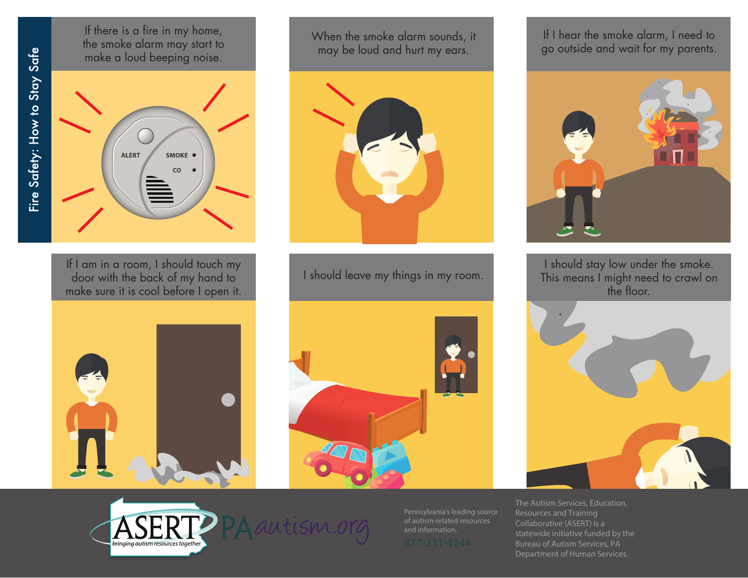Fire Safety: How to Stay Safe

If there is a fire in my home, the smoke alarm may start to make a loud beeping noise.



If I am in a room, I should touch my door with the back of my hand to make sure it is cool before I open it. When the smoke alarm sounds, it may be loud and hurt my ears.



I should leave my things in my room.





If I hear the smoke alarm, I need to go outside and wait for my parents.



I should stay low under the smoke. This means I might need to crawl on the floor.





Pennsylvania's leading source of autism-related resources and information.

The Autism Services, Education, Collaborative (ASERT) is a statewide initiative funded by the Bureau of Autism Services, PA Department of Human Services.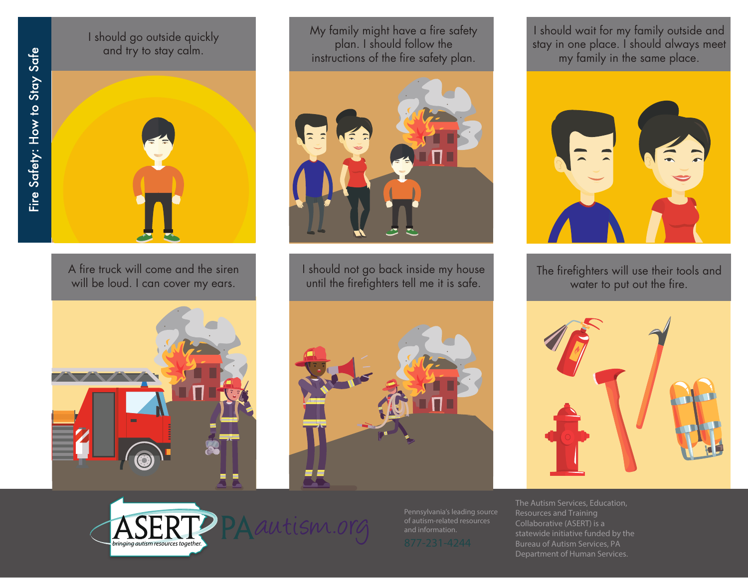I should go outside quickly and try to stay calm.



A fire truck will come and the siren will be loud. I can cover my ears.

My family might have a fire safety plan. I should follow the instructions of the fire safety plan.



I should not go back inside my house until the firefighters tell me it is safe.







Pennsylvania's leading source of autism-related resources and information.

I should wait for my family outside and stay in one place. I should always meet my family in the same place.



The firefighters will use their tools and water to put out the fire.



The Autism Services, Education, Collaborative (ASERT) is a statewide initiative funded by the Bureau of Autism Services, PA Department of Human Services.